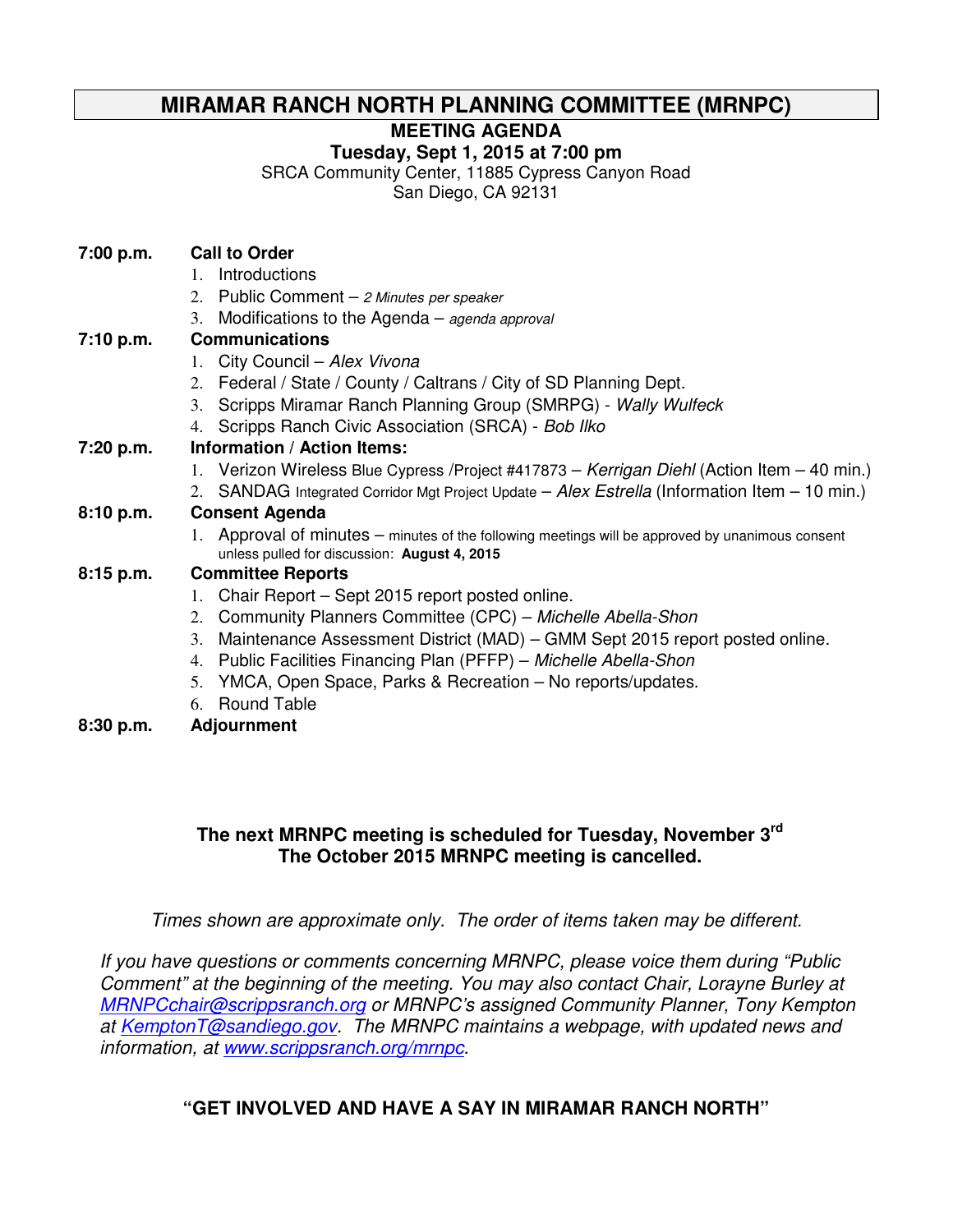# **MIRAMAR RANCH NORTH PLANNING COMMITTEE (MRNPC)**

**MEETING AGENDA** 

**Tuesday, Sept 1, 2015 at 7:00 pm** 

SRCA Community Center, 11885 Cypress Canyon Road

San Diego, CA 92131

- 1. Introductions
- 2. Public Comment  $-$  2 Minutes per speaker
- 3. Modifications to the Agenda agenda approval

### **7:10 p.m. Communications**

- 1. City Council Alex Vivona
- 2. Federal / State / County / Caltrans / City of SD Planning Dept.
- 3. Scripps Miramar Ranch Planning Group (SMRPG) Wally Wulfeck
- 4. Scripps Ranch Civic Association (SRCA) Bob Ilko

## **7:20 p.m. Information / Action Items:**

- 1. Verizon Wireless Blue Cypress / Project #417873 Kerrigan Diehl (Action Item 40 min.)
- 2. SANDAG Integrated Corridor Mgt Project Update  $-A$ lex Estrella (Information Item  $-10$  min.)

## **8:10 p.m. Consent Agenda**

1. Approval of minutes – minutes of the following meetings will be approved by unanimous consent unless pulled for discussion: **August 4, 2015**

### **8:15 p.m. Committee Reports**

- 1. Chair Report Sept 2015 report posted online.
- 2. Community Planners Committee (CPC) Michelle Abella-Shon
- 3. Maintenance Assessment District (MAD) GMM Sept 2015 report posted online.
- 4. Public Facilities Financing Plan (PFFP) Michelle Abella-Shon
- 5. YMCA, Open Space, Parks & Recreation No reports/updates.
- 6. Round Table
- **8:30 p.m. Adjournment**

# **The next MRNPC meeting is scheduled for Tuesday, November 3rd The October 2015 MRNPC meeting is cancelled.**

Times shown are approximate only. The order of items taken may be different.

If you have questions or comments concerning MRNPC, please voice them during "Public Comment" at the beginning of the meeting. You may also contact Chair, Lorayne Burley at MRNPCchair@scrippsranch.org or MRNPC's assigned Community Planner, Tony Kempton at KemptonT@sandiego.gov. The MRNPC maintains a webpage, with updated news and information, at www.scrippsranch.org/mrnpc.

# **"GET INVOLVED AND HAVE A SAY IN MIRAMAR RANCH NORTH"**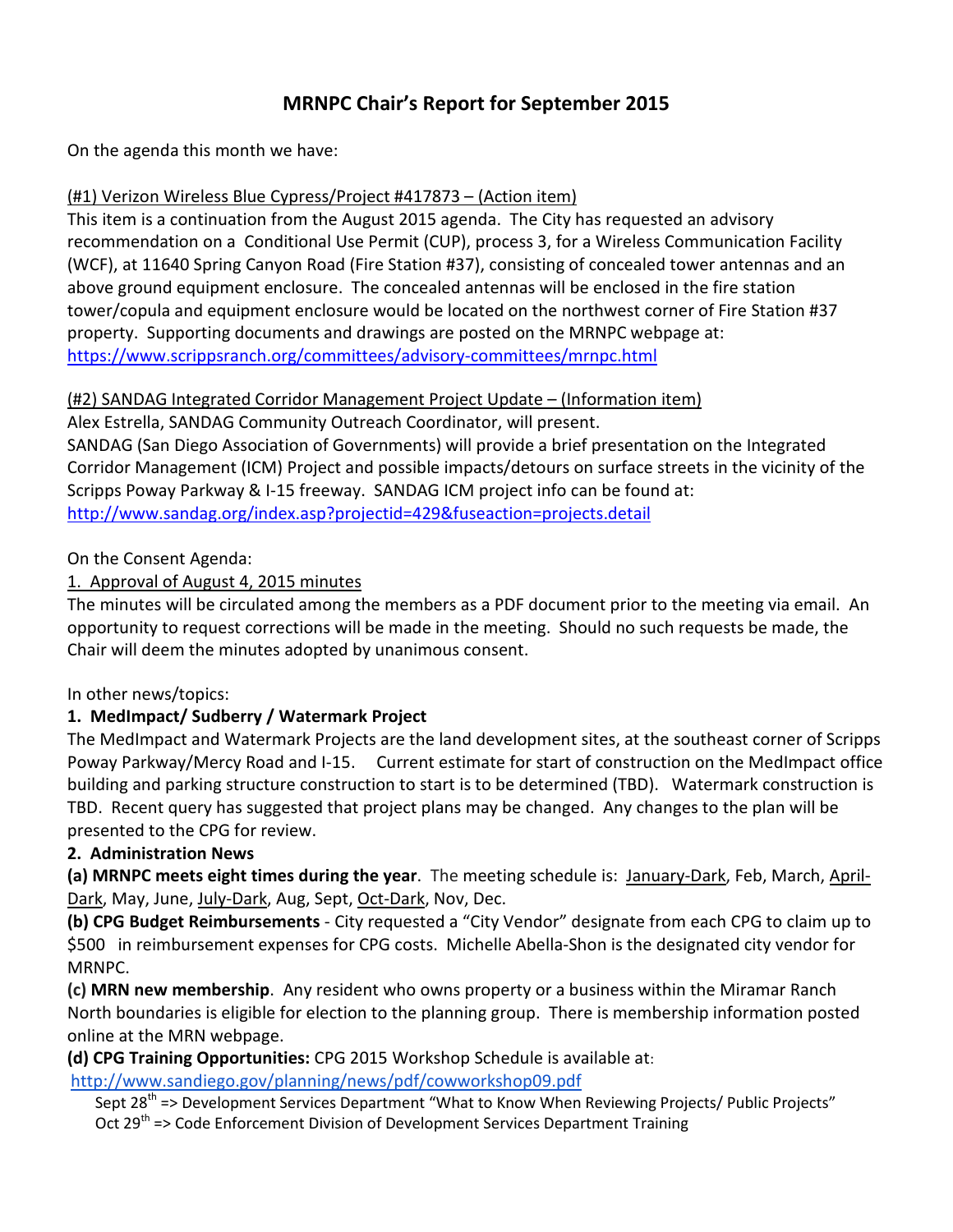# MRNPC Chair's Report for September 2015

On the agenda this month we have:

#### (#1) Verizon Wireless Blue Cypress/Project #417873 – (Action item)

This item is a continuation from the August 2015 agenda. The City has requested an advisory recommendation on a Conditional Use Permit (CUP), process 3, for a Wireless Communication Facility (WCF), at 11640 Spring Canyon Road (Fire Station #37), consisting of concealed tower antennas and an above ground equipment enclosure. The concealed antennas will be enclosed in the fire station tower/copula and equipment enclosure would be located on the northwest corner of Fire Station #37 property. Supporting documents and drawings are posted on the MRNPC webpage at: https://www.scrippsranch.org/committees/advisory-committees/mrnpc.html

#### (#2) SANDAG Integrated Corridor Management Project Update – (Information item)

Alex Estrella, SANDAG Community Outreach Coordinator, will present.

SANDAG (San Diego Association of Governments) will provide a brief presentation on the Integrated Corridor Management (ICM) Project and possible impacts/detours on surface streets in the vicinity of the Scripps Poway Parkway & I-15 freeway. SANDAG ICM project info can be found at: http://www.sandag.org/index.asp?projectid=429&fuseaction=projects.detail

#### On the Consent Agenda:

### 1. Approval of August 4, 2015 minutes

The minutes will be circulated among the members as a PDF document prior to the meeting via email. An opportunity to request corrections will be made in the meeting. Should no such requests be made, the Chair will deem the minutes adopted by unanimous consent.

### In other news/topics:

### 1. MedImpact/ Sudberry / Watermark Project

The MedImpact and Watermark Projects are the land development sites, at the southeast corner of Scripps Poway Parkway/Mercy Road and I-15. Current estimate for start of construction on the MedImpact office building and parking structure construction to start is to be determined (TBD). Watermark construction is TBD. Recent query has suggested that project plans may be changed. Any changes to the plan will be presented to the CPG for review.

### 2. Administration News

(a) MRNPC meets eight times during the year. The meeting schedule is: January-Dark, Feb, March, April-Dark, May, June, July-Dark, Aug, Sept, Oct-Dark, Nov, Dec.

(b) CPG Budget Reimbursements - City requested a "City Vendor" designate from each CPG to claim up to \$500 in reimbursement expenses for CPG costs. Michelle Abella-Shon is the designated city vendor for MRNPC.

(c) MRN new membership. Any resident who owns property or a business within the Miramar Ranch North boundaries is eligible for election to the planning group. There is membership information posted online at the MRN webpage.

(d) CPG Training Opportunities: CPG 2015 Workshop Schedule is available at:

http://www.sandiego.gov/planning/news/pdf/cowworkshop09.pdf

Sept 28<sup>th</sup> => Development Services Department "What to Know When Reviewing Projects/ Public Projects" Oct 29<sup>th</sup> => Code Enforcement Division of Development Services Department Training